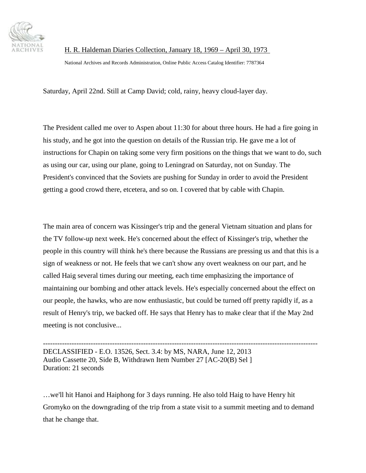

National Archives and Records Administration, Online Public Access Catalog Identifier: 7787364

Saturday, April 22nd. Still at Camp David; cold, rainy, heavy cloud-layer day.

The President called me over to Aspen about 11:30 for about three hours. He had a fire going in his study, and he got into the question on details of the Russian trip. He gave me a lot of instructions for Chapin on taking some very firm positions on the things that we want to do, such as using our car, using our plane, going to Leningrad on Saturday, not on Sunday. The President's convinced that the Soviets are pushing for Sunday in order to avoid the President getting a good crowd there, etcetera, and so on. I covered that by cable with Chapin.

The main area of concern was Kissinger's trip and the general Vietnam situation and plans for the TV follow-up next week. He's concerned about the effect of Kissinger's trip, whether the people in this country will think he's there because the Russians are pressing us and that this is a sign of weakness or not. He feels that we can't show any overt weakness on our part, and he called Haig several times during our meeting, each time emphasizing the importance of maintaining our bombing and other attack levels. He's especially concerned about the effect on our people, the hawks, who are now enthusiastic, but could be turned off pretty rapidly if, as a result of Henry's trip, we backed off. He says that Henry has to make clear that if the May 2nd meeting is not conclusive...

------------------------------------------------------------------------------------------------------------------- DECLASSIFIED - E.O. 13526, Sect. 3.4: by MS, NARA, June 12, 2013 Audio Cassette 20, Side B, Withdrawn Item Number 27 [AC-20(B) Sel ] Duration: 21 seconds

…we'll hit Hanoi and Haiphong for 3 days running. He also told Haig to have Henry hit Gromyko on the downgrading of the trip from a state visit to a summit meeting and to demand that he change that.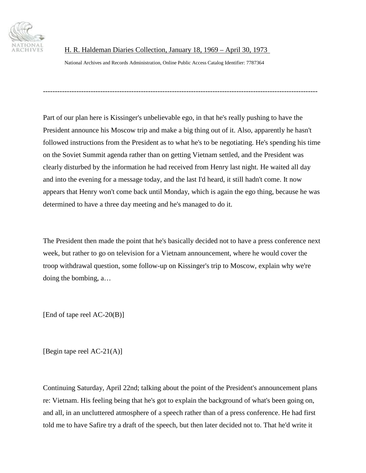

National Archives and Records Administration, Online Public Access Catalog Identifier: 7787364

Part of our plan here is Kissinger's unbelievable ego, in that he's really pushing to have the President announce his Moscow trip and make a big thing out of it. Also, apparently he hasn't followed instructions from the President as to what he's to be negotiating. He's spending his time on the Soviet Summit agenda rather than on getting Vietnam settled, and the President was clearly disturbed by the information he had received from Henry last night. He waited all day and into the evening for a message today, and the last I'd heard, it still hadn't come. It now appears that Henry won't come back until Monday, which is again the ego thing, because he was determined to have a three day meeting and he's managed to do it.

-------------------------------------------------------------------------------------------------------------------

The President then made the point that he's basically decided not to have a press conference next week, but rather to go on television for a Vietnam announcement, where he would cover the troop withdrawal question, some follow-up on Kissinger's trip to Moscow, explain why we're doing the bombing, a…

[End of tape reel AC-20(B)]

[Begin tape reel AC-21(A)]

Continuing Saturday, April 22nd; talking about the point of the President's announcement plans re: Vietnam. His feeling being that he's got to explain the background of what's been going on, and all, in an uncluttered atmosphere of a speech rather than of a press conference. He had first told me to have Safire try a draft of the speech, but then later decided not to. That he'd write it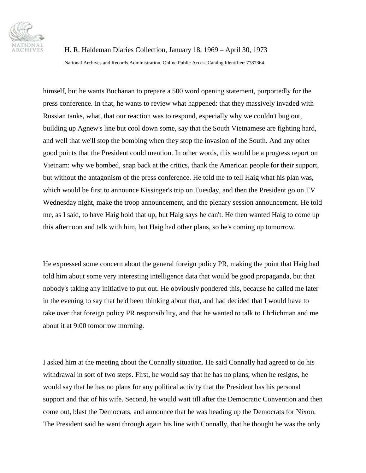

National Archives and Records Administration, Online Public Access Catalog Identifier: 7787364

himself, but he wants Buchanan to prepare a 500 word opening statement, purportedly for the press conference. In that, he wants to review what happened: that they massively invaded with Russian tanks, what, that our reaction was to respond, especially why we couldn't bug out, building up Agnew's line but cool down some, say that the South Vietnamese are fighting hard, and well that we'll stop the bombing when they stop the invasion of the South. And any other good points that the President could mention. In other words, this would be a progress report on Vietnam: why we bombed, snap back at the critics, thank the American people for their support, but without the antagonism of the press conference. He told me to tell Haig what his plan was, which would be first to announce Kissinger's trip on Tuesday, and then the President go on TV Wednesday night, make the troop announcement, and the plenary session announcement. He told me, as I said, to have Haig hold that up, but Haig says he can't. He then wanted Haig to come up this afternoon and talk with him, but Haig had other plans, so he's coming up tomorrow.

He expressed some concern about the general foreign policy PR, making the point that Haig had told him about some very interesting intelligence data that would be good propaganda, but that nobody's taking any initiative to put out. He obviously pondered this, because he called me later in the evening to say that he'd been thinking about that, and had decided that I would have to take over that foreign policy PR responsibility, and that he wanted to talk to Ehrlichman and me about it at 9:00 tomorrow morning.

I asked him at the meeting about the Connally situation. He said Connally had agreed to do his withdrawal in sort of two steps. First, he would say that he has no plans, when he resigns, he would say that he has no plans for any political activity that the President has his personal support and that of his wife. Second, he would wait till after the Democratic Convention and then come out, blast the Democrats, and announce that he was heading up the Democrats for Nixon. The President said he went through again his line with Connally, that he thought he was the only